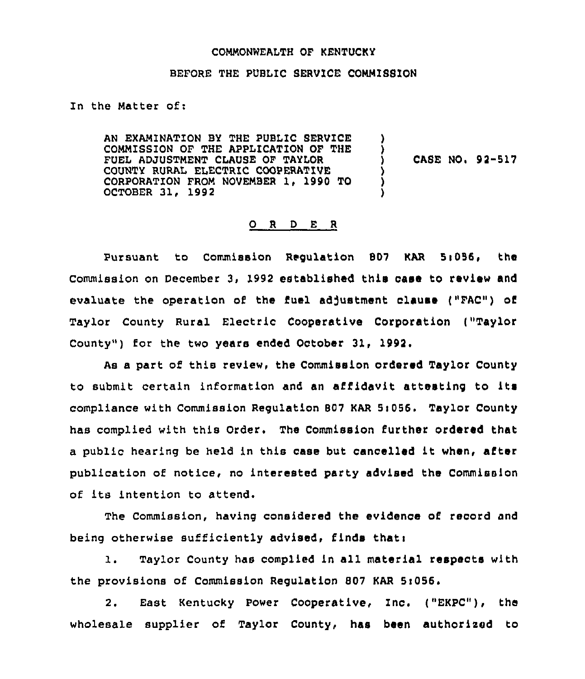#### COMMONNEALTH OF KENTUCKY

# BEFORE THE PUBLIC SERVICE COMMISSION

In the Matter of:

AN EXAMINATION BY THE PUBLIC SERVICE COMMISSION OF THE APPLICATION OF THE FUEL ADJUSTMENT CLAUSE OF TAYZOR COUNTY RURAL ELECTRIC COOPERATIVE CORPORATION FROM NOVEMBER 1, 1990 TO OCTOBER 31, 1992 ) ) CASE NO. 92-517 ) ) )

# 0 <sup>R</sup> <sup>D</sup> <sup>E</sup> <sup>R</sup>

Pursuant to Commission Regulation 807 KAR 5:056, the Commission on December 3, 1992 established this case to review and evaluate the operation of the fuel adjustment clause ("FAC") of Taylor County Rural Electric Cooperative Corporation ("Taylor County") for the two years ended October 31, 1992.

As a part of this review, the Commission ordered Taylor County to submit certain information and an affidavit attesting to its compliance with Commission Regulation 807 KAR 5:056. Taylor County has complied with this Order. The Commission further ordered that <sup>a</sup> public hearing be held in this case but cancelled it when, after publication of notice, no interested party advised the Commission of its intention to attend.

The commission, having considered the evidence of record and being otherwise sufficiently advised, finds thati

1. Taylor County has complied in all material respects with the provisions of Commission Regulation 807 KAR 5:056.

2. East Kentucky Power Cooperative, Inc. ("EKPC"), the wholesale supplier of Taylor County, has been authorised to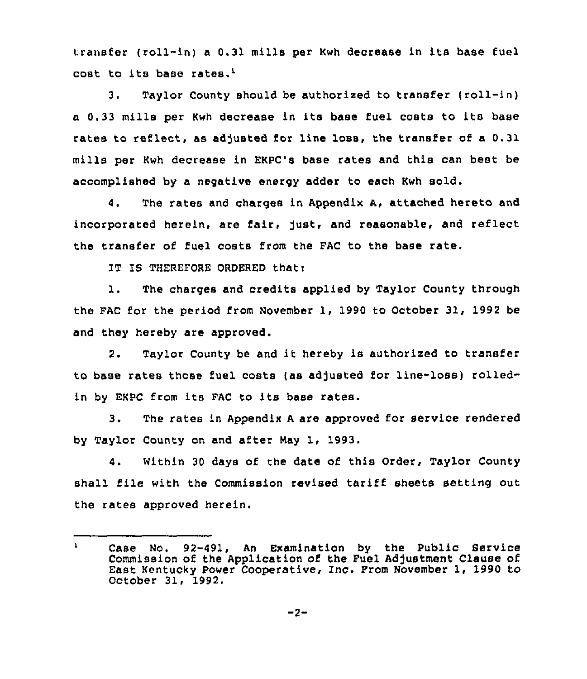transfer (roll-in) a 0.31 mills per Kwh decrease in its base fuel cost to its base rates.'.

Taylor County should be authorized to transfer {roll-in)  $3.$ <sup>a</sup> 0.33 mills per Kwh decrease in its base fuel costs to its base rates to reflect, as adjusted for line loss, the transfer of a 0.31 mills per Kwh decrease in EKPC's base rates and this can best be accomplished by a negative energy adder to each Kwh sold.

4. The rates and charges in Appendix A, attached hereto and incorporated herein, are fair, just, and reasonable, and reflect the transfer of fuel costs from the FAC to the base rate.

IT IS THEREFORE ORDERED that:

l. The charges and credits applied by Taylor County through the FAC for the period from November 1, 1990 to October 31, 1992 be and they hereby are approved.

2. Taylor County be and it hereby is authorized to transfer to base rates those fuel costs (as adjusted for line-loss) rolledin by EKPC from its FAC to its base rates.

3. The rates in Appendix <sup>A</sup> are approved for service rendered by Taylor County on and after Nay 1, 1993.

4. Within 30 days of the date of this Order, Taylor County shall file with the Commission revised tariff sheets setting out the rates approved herein.

 $\mathbf{Y}$ Case No. 92-491, An Examination by the Public Service Commission of the Application of the Fuel Adjustment Clause of East Kentucky Power Cooperative, Inc. From November 1, 1990 to October 31, 1992.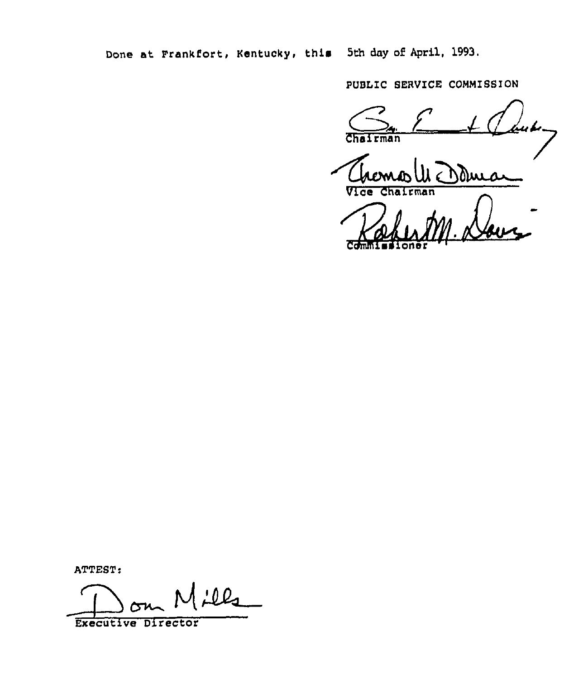Done at Frankfort, Kentucky, this 5th day of April, 1993.

PUBLIC SERVICE COMMISSION

Chairman<br>Vice Chairman

ccwlll1 Pal chentm. Da

ATTEST:

<u>:02</u>

Executive Director